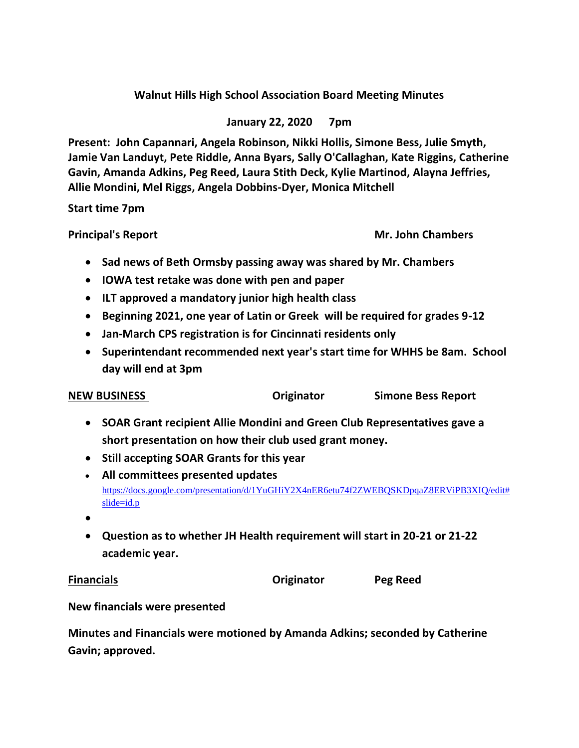# **Walnut Hills High School Association Board Meeting Minutes**

# **January 22, 2020 7pm**

**Present: John Capannari, Angela Robinson, Nikki Hollis, Simone Bess, Julie Smyth, Jamie Van Landuyt, Pete Riddle, Anna Byars, Sally O'Callaghan, Kate Riggins, Catherine Gavin, Amanda Adkins, Peg Reed, Laura Stith Deck, Kylie Martinod, Alayna Jeffries, Allie Mondini, Mel Riggs, Angela Dobbins-Dyer, Monica Mitchell**

### **Start time 7pm**

**Principal's Report Mr. John Chambers** 

- **Sad news of Beth Ormsby passing away was shared by Mr. Chambers**
- **IOWA test retake was done with pen and paper**
- **ILT approved a mandatory junior high health class**
- **Beginning 2021, one year of Latin or Greek will be required for grades 9-12**
- **Jan-March CPS registration is for Cincinnati residents only**
- **Superintendant recommended next year's start time for WHHS be 8am. School day will end at 3pm**

| <b>NEW BUSINESS</b> | Originator | <b>Simone Bess Report</b> |
|---------------------|------------|---------------------------|
|                     |            |                           |

- **SOAR Grant recipient Allie Mondini and Green Club Representatives gave a short presentation on how their club used grant money.**
- **Still accepting SOAR Grants for this year**
- **All committees presented updates** [https://docs.google.com/presentation/d/1YuGHiY2X4nER6etu74f2ZWEBQSKDpqaZ8ERViPB3XIQ/edit#](https://docs.google.com/presentation/d/1YuGHiY2X4nER6etu74f2ZWEBQSKDpqaZ8ERViPB3XIQ/edit#slide=id.p) [slide=id.p](https://docs.google.com/presentation/d/1YuGHiY2X4nER6etu74f2ZWEBQSKDpqaZ8ERViPB3XIQ/edit#slide=id.p)
- •
- **Question as to whether JH Health requirement will start in 20-21 or 21-22 academic year.**

**Financials Originator Peg Reed**

# **New financials were presented**

**Minutes and Financials were motioned by Amanda Adkins; seconded by Catherine Gavin; approved.**